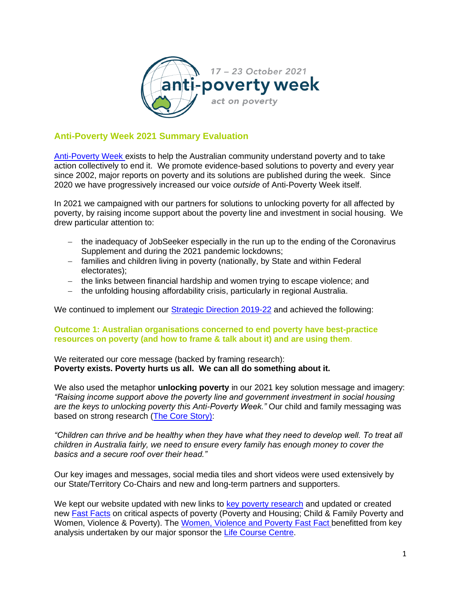

# **Anti-Poverty Week 2021 Summary Evaluation**

[Anti-Poverty Week](https://antipovertyweek.org.au/) exists to help the Australian community understand poverty and to take action collectively to end it. We promote evidence-based solutions to poverty and every year since 2002, major reports on poverty and its solutions are published during the week. Since 2020 we have progressively increased our voice *outside* of Anti-Poverty Week itself.

In 2021 we campaigned with our partners for solutions to unlocking poverty for all affected by poverty, by raising income support about the poverty line and investment in social housing. We drew particular attention to:

- − the inadequacy of JobSeeker especially in the run up to the ending of the Coronavirus Supplement and during the 2021 pandemic lockdowns;
- − families and children living in poverty (nationally, by State and within Federal electorates);
- − the links between financial hardship and women trying to escape violence; and
- − the unfolding housing affordability crisis, particularly in regional Australia.

We continued to implement our [Strategic Direction 2019-22](https://antipovertyweek.org.au/wp-content/uploads/2022/06/APWStrategy2019-22-June22-external.pdf) and achieved the following:

#### **Outcome 1: Australian organisations concerned to end poverty have best-practice resources on poverty (and how to frame & talk about it) and are using them**.

We reiterated our core message (backed by framing research): **Poverty exists. Poverty hurts us all. We can all do something about it.**

We also used the metaphor **unlocking poverty** in our 2021 key solution message and imagery: *"Raising income support above the poverty line and government investment in social housing are the keys to unlocking poverty this Anti-Poverty Week."* Our child and family messaging was based on strong research [\(The Core Story\)](https://www.telethonkids.org.au/projects/HPER/core-story/):

*"Children can thrive and be healthy when they have what they need to develop well. To treat all children in Australia fairly, we need to ensure every family has enough money to cover the basics and a secure roof over their head."*

Our key images and messages, social media tiles and short videos were used extensively by our State/Territory Co-Chairs and new and long-term partners and supporters.

We kept our website updated with new links to [key poverty research](https://antipovertyweek.org.au/resources/poverty-in-australia/) and updated or created new [Fast Facts](https://antipovertyweek.org.au/resources/fast-facts/) on critical aspects of poverty (Poverty and Housing; Child & Family Poverty and Women, Violence & Poverty). The [Women, Violence and Poverty Fast Fact](https://antipovertyweek.org.au/wp-content/uploads/2021/09/APW-Final-Women-Violence-and-Poverty-Fast-Facts-30.08.2021.pdf) benefitted from key analysis undertaken by our major sponsor the [Life Course Centre.](https://www.lifecoursecentre.org.au/)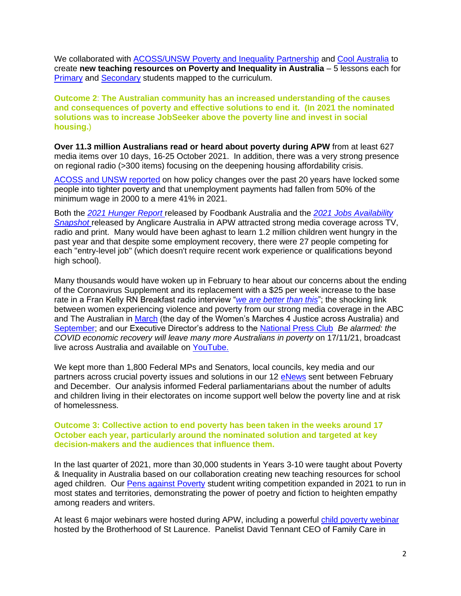We collaborated with [ACOSS/UNSW Poverty and Inequality Partnership](https://povertyandinequality.acoss.org.au/) and [Cool Australia](https://www.coolaustralia.org/) to create **new teaching resources on Poverty and Inequality in Australia** – 5 lessons each for [Primary](https://www.coolaustralia.org/unit/poverty-and-inequality-in-australia-years-3-6/) and **Secondary** students mapped to the curriculum.

**Outcome 2**: **The Australian community has an increased understanding of the causes and consequences of poverty and effective solutions to end it. (In 2021 the nominated solutions was to increase JobSeeker above the poverty line and invest in social housing.**)

**Over 11.3 million Australians read or heard about poverty during APW** from at least 627 media items over 10 days, 16-25 October 2021. In addition, there was a very strong presence on regional radio (>300 items) focusing on the deepening housing affordability crisis.

[ACOSS and UNSW reported](https://www.acoss.org.au/media-releases/?media_release=sole-parents-and-unemployed-face-poverty-as-nation-surges-ahead) on how policy changes over the past 20 years have locked some people into tighter poverty and that unemployment payments had fallen from 50% of the minimum wage in 2000 to a mere 41% in 2021.

Both the *[2021 Hunger Report](https://www.foodbank.org.au/research-reports/?state=nsw-act)* released by Foodbank Australia and the *[2021 Jobs Availability](https://www.anglicare.asn.au/wp-content/uploads/2021/10/Jobs-Availability-Snapshot-Report.pdf)  [Snapshot](https://www.anglicare.asn.au/wp-content/uploads/2021/10/Jobs-Availability-Snapshot-Report.pdf)* released by Anglicare Australia in APW attracted strong media coverage across TV, radio and print. Many would have been aghast to learn 1.2 million children went hungry in the past year and that despite some employment recovery, there were 27 people competing for each "entry-level job" (which doesn't require recent work experience or qualifications beyond high school).

Many thousands would have woken up in February to hear about our concerns about the ending of the Coronavirus Supplement and its replacement with a \$25 per week increase to the base rate in a Fran Kelly RN Breakfast radio interview "*[we are better than this](https://www.abc.net.au/radionational/programs/breakfast/unemployment-subsidy-drops-to-44-dollars-a-day/13186010)*"; the shocking link between women experiencing violence and poverty from our strong media coverage in the ABC and The Australian in [March](https://www.abc.net.au/news/2021-03-15/jobkeeper-and-womens-march-4-justice-linked-poverty-violence/13248392) (the day of the Women's Marches 4 Justice across Australia) and [September;](https://www.abc.net.au/radionational/programs/breakfast/link-between-poverty-family-violence/13523698) and our Executive Director's address to the [National Press Club](https://antipovertyweek.org.au/news/) *Be alarmed: the COVID economic recovery will leave many more Australians in poverty* on 17/11/21, broadcast live across Australia and available on [YouTube.](https://www.youtube.com/watch?v=cOuR70-DdYc)

We kept more than 1,800 Federal MPs and Senators, local councils, key media and our partners across crucial poverty issues and solutions in our 12 [eNews](https://antipovertyweek.org.au/about/what-we-do/) sent between February and December. Our analysis informed Federal parliamentarians about the number of adults and children living in their electorates on income support well below the poverty line and at risk of homelessness.

#### **Outcome 3: Collective action to end poverty has been taken in the weeks around 17 October each year, particularly around the nominated solution and targeted at key decision-makers and the audiences that influence them.**

In the last quarter of 2021, more than 30,000 students in Years 3-10 were taught about Poverty & Inequality in Australia based on our collaboration creating new teaching resources for school aged children. Our [Pens against Poverty](https://pensagainstpoverty.org/) student writing competition expanded in 2021 to run in most states and territories, demonstrating the power of poetry and fiction to heighten empathy among readers and writers.

At least 6 major webinars were hosted during APW, including a powerful [child poverty webinar](https://www.bsl.org.au/news-events/events/shifting-the-dial-on-child-and-family-poverty-what-will-it-take/) hosted by the Brotherhood of St Laurence. Panelist David Tennant CEO of Family Care in